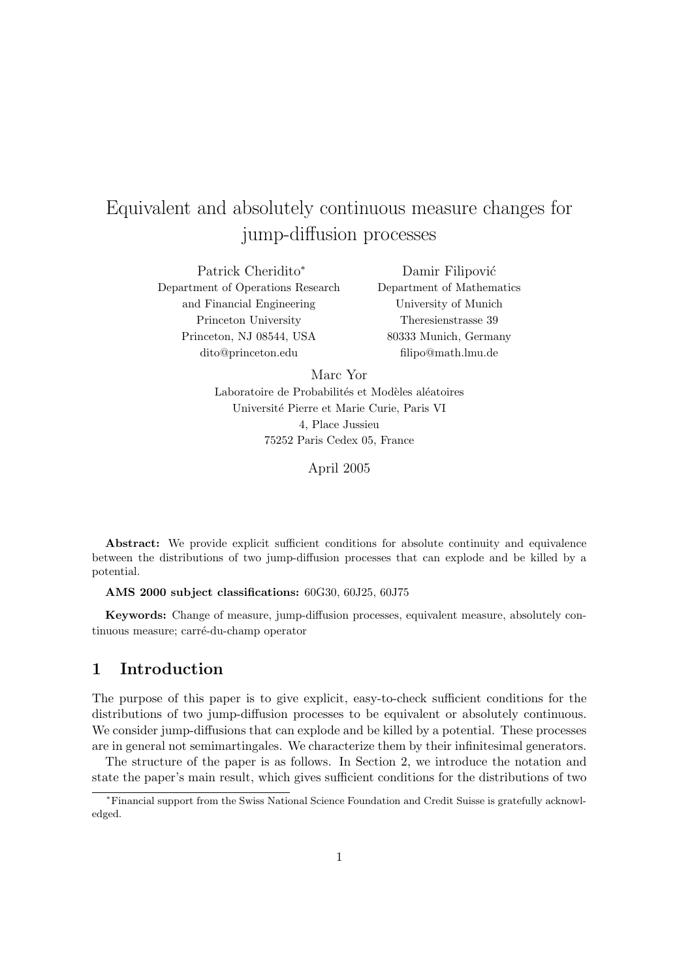# Equivalent and absolutely continuous measure changes for jump-diffusion processes

Patrick Cheridito<sup>∗</sup> Department of Operations Research and Financial Engineering Princeton University Princeton, NJ 08544, USA dito@princeton.edu

Damir Filipović Department of Mathematics University of Munich Theresienstrasse 39 80333 Munich, Germany filipo@math.lmu.de

Marc Yor Laboratoire de Probabilités et Modèles aléatoires Universit´e Pierre et Marie Curie, Paris VI 4, Place Jussieu 75252 Paris Cedex 05, France

April 2005

Abstract: We provide explicit sufficient conditions for absolute continuity and equivalence between the distributions of two jump-diffusion processes that can explode and be killed by a potential.

AMS 2000 subject classifications: 60G30, 60J25, 60J75

Keywords: Change of measure, jump-diffusion processes, equivalent measure, absolutely continuous measure; carré-du-champ operator

### 1 Introduction

The purpose of this paper is to give explicit, easy-to-check sufficient conditions for the distributions of two jump-diffusion processes to be equivalent or absolutely continuous. We consider jump-diffusions that can explode and be killed by a potential. These processes are in general not semimartingales. We characterize them by their infinitesimal generators.

The structure of the paper is as follows. In Section 2, we introduce the notation and state the paper's main result, which gives sufficient conditions for the distributions of two

<sup>∗</sup>Financial support from the Swiss National Science Foundation and Credit Suisse is gratefully acknowledged.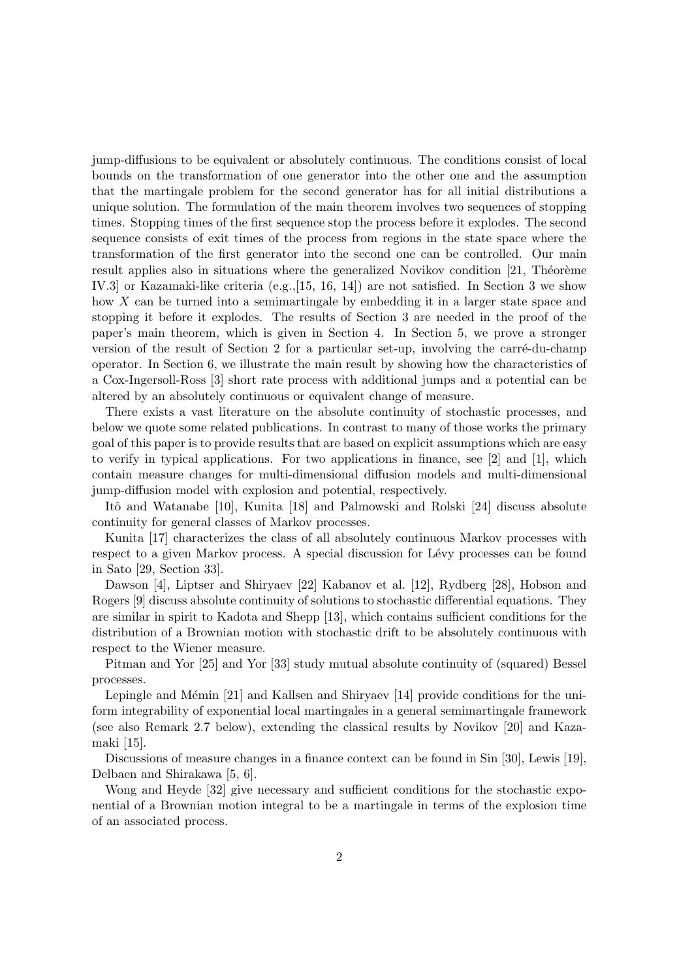jump-diffusions to be equivalent or absolutely continuous. The conditions consist of local bounds on the transformation of one generator into the other one and the assumption that the martingale problem for the second generator has for all initial distributions a unique solution. The formulation of the main theorem involves two sequences of stopping times. Stopping times of the first sequence stop the process before it explodes. The second sequence consists of exit times of the process from regions in the state space where the transformation of the first generator into the second one can be controlled. Our main result applies also in situations where the generalized Novikov condition  $[21,$  Théorème IV.3] or Kazamaki-like criteria (e.g.,[15, 16, 14]) are not satisfied. In Section 3 we show how X can be turned into a semimartingale by embedding it in a larger state space and stopping it before it explodes. The results of Section 3 are needed in the proof of the paper's main theorem, which is given in Section 4. In Section 5, we prove a stronger version of the result of Section 2 for a particular set-up, involving the carré-du-champ operator. In Section 6, we illustrate the main result by showing how the characteristics of a Cox-Ingersoll-Ross [3] short rate process with additional jumps and a potential can be altered by an absolutely continuous or equivalent change of measure.

There exists a vast literature on the absolute continuity of stochastic processes, and below we quote some related publications. In contrast to many of those works the primary goal of this paper is to provide results that are based on explicit assumptions which are easy to verify in typical applications. For two applications in finance, see [2] and [1], which contain measure changes for multi-dimensional diffusion models and multi-dimensional jump-diffusion model with explosion and potential, respectively.

Itô and Watanabe [10], Kunita [18] and Palmowski and Rolski [24] discuss absolute continuity for general classes of Markov processes.

Kunita [17] characterizes the class of all absolutely continuous Markov processes with respect to a given Markov process. A special discussion for Lévy processes can be found in Sato [29, Section 33].

Dawson [4], Liptser and Shiryaev [22] Kabanov et al. [12], Rydberg [28], Hobson and Rogers [9] discuss absolute continuity of solutions to stochastic differential equations. They are similar in spirit to Kadota and Shepp [13], which contains sufficient conditions for the distribution of a Brownian motion with stochastic drift to be absolutely continuous with respect to the Wiener measure.

Pitman and Yor [25] and Yor [33] study mutual absolute continuity of (squared) Bessel processes.

Lepingle and Mémin  $[21]$  and Kallsen and Shiryaev  $[14]$  provide conditions for the uniform integrability of exponential local martingales in a general semimartingale framework (see also Remark 2.7 below), extending the classical results by Novikov [20] and Kazamaki [15].

Discussions of measure changes in a finance context can be found in Sin [30], Lewis [19], Delbaen and Shirakawa [5, 6].

Wong and Heyde [32] give necessary and sufficient conditions for the stochastic exponential of a Brownian motion integral to be a martingale in terms of the explosion time of an associated process.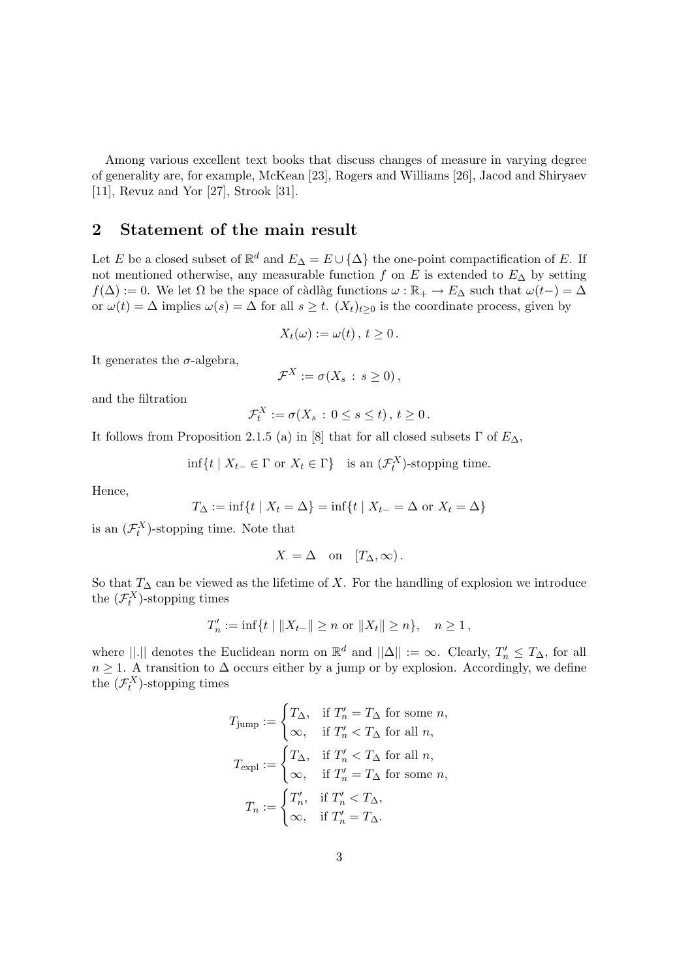Among various excellent text books that discuss changes of measure in varying degree of generality are, for example, McKean [23], Rogers and Williams [26], Jacod and Shiryaev [11], Revuz and Yor [27], Strook [31].

#### 2 Statement of the main result

Let E be a closed subset of  $\mathbb{R}^d$  and  $E_{\Delta} = E \cup {\{\Delta\}}$  the one-point compactification of E. If not mentioned otherwise, any measurable function f on E is extended to  $E_{\Delta}$  by setting  $f(\Delta) := 0$ . We let  $\Omega$  be the space of càdlàg functions  $\omega : \mathbb{R}_+ \to E_{\Delta}$  such that  $\omega(t-) = \Delta$ or  $\omega(t) = \Delta$  implies  $\omega(s) = \Delta$  for all  $s \geq t$ .  $(X_t)_{t \geq 0}$  is the coordinate process, given by

$$
X_t(\omega) := \omega(t), t \geq 0.
$$

It generates the  $\sigma$ -algebra,

$$
\mathcal{F}^X := \sigma(X_s : s \geq 0),
$$

and the filtration

$$
\mathcal{F}_t^X := \sigma(X_s \, : \, 0 \le s \le t) \,, \, t \ge 0 \,.
$$

It follows from Proposition 2.1.5 (a) in [8] that for all closed subsets  $\Gamma$  of  $E_{\Delta}$ ,

$$
\inf\{t \mid X_{t-} \in \Gamma \text{ or } X_t \in \Gamma\} \quad \text{is an } (\mathcal{F}_t^X)\text{-stopping time.}
$$

Hence,

$$
T_{\Delta} := \inf\{t \mid X_t = \Delta\} = \inf\{t \mid X_{t-} = \Delta \text{ or } X_t = \Delta\}
$$

is an  $(\mathcal{F}_t^X)$ -stopping time. Note that

$$
X = \Delta \quad \text{on} \quad [T_{\Delta}, \infty).
$$

So that  $T_{\Delta}$  can be viewed as the lifetime of X. For the handling of explosion we introduce the  $(\mathcal{F}_t^X)$ -stopping times

$$
T'_n := \inf\{t \mid ||X_{t-}|| \ge n \text{ or } ||X_t|| \ge n\}, \quad n \ge 1,
$$

where  $||.||$  denotes the Euclidean norm on  $\mathbb{R}^d$  and  $||\Delta|| := \infty$ . Clearly,  $T'_n \leq T_{\Delta}$ , for all  $n \geq 1$ . A transition to  $\Delta$  occurs either by a jump or by explosion. Accordingly, we define the  $(\mathcal{F}_t^X)$ -stopping times

$$
T_{\text{jump}} := \begin{cases} T_{\Delta}, & \text{if } T_n' = T_{\Delta} \text{ for some } n, \\ \infty, & \text{if } T_n' < T_{\Delta} \text{ for all } n, \end{cases}
$$
\n
$$
T_{\text{expl}} := \begin{cases} T_{\Delta}, & \text{if } T_n' < T_{\Delta} \text{ for all } n, \\ \infty, & \text{if } T_n' = T_{\Delta} \text{ for some } n, \end{cases}
$$
\n
$$
T_n := \begin{cases} T_n', & \text{if } T_n' < T_{\Delta}, \\ \infty, & \text{if } T_n' = T_{\Delta}. \end{cases}
$$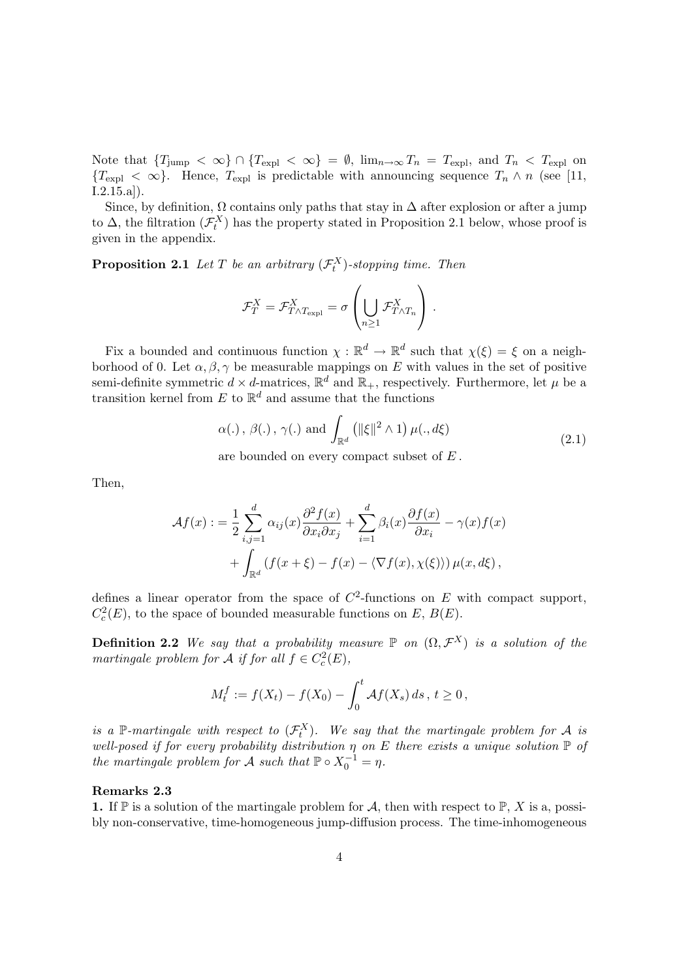Note that  ${T_{jump} < \infty} \cap {T_{expl} < \infty} = \emptyset$ ,  $\lim_{n\to\infty} T_n = T_{expl}$ , and  $T_n < T_{expl}$  on  ${T<sub>expl</sub> < \infty}$ . Hence,  $T<sub>expl</sub>$  is predictable with announcing sequence  $T<sub>n</sub> \wedge n$  (see [11,  $[1.2.15.a]$ .

Since, by definition,  $\Omega$  contains only paths that stay in  $\Delta$  after explosion or after a jump to  $\Delta$ , the filtration  $(\mathcal{F}^X_t)$  has the property stated in Proposition 2.1 below, whose proof is given in the appendix.

**Proposition 2.1** Let T be an arbitrary  $(\mathcal{F}_t^X)$ -stopping time. Then

$$
\mathcal{F}_T^X = \mathcal{F}_{T \wedge T_{\mathrm{expl}}}^X = \sigma \left( \bigcup_{n \geq 1} \mathcal{F}_{T \wedge T_n}^X \right).
$$

Fix a bounded and continuous function  $\chi : \mathbb{R}^d \to \mathbb{R}^d$  such that  $\chi(\xi) = \xi$  on a neighborhood of 0. Let  $\alpha, \beta, \gamma$  be measurable mappings on E with values in the set of positive semi-definite symmetric  $d \times d$ -matrices,  $\mathbb{R}^d$  and  $\mathbb{R}_+$ , respectively. Furthermore, let  $\mu$  be a transition kernel from  $E$  to  $\mathbb{R}^d$  and assume that the functions

$$
\alpha(.)
$$
,  $\beta(.)$ ,  $\gamma(.)$  and  $\int_{\mathbb{R}^d} (||\xi||^2 \wedge 1) \mu(., d\xi)$  (2.1)

are bounded on every compact subset of E .

Then,

$$
\mathcal{A}f(x) := \frac{1}{2} \sum_{i,j=1}^{d} \alpha_{ij}(x) \frac{\partial^2 f(x)}{\partial x_i \partial x_j} + \sum_{i=1}^{d} \beta_i(x) \frac{\partial f(x)}{\partial x_i} - \gamma(x) f(x) + \int_{\mathbb{R}^d} (f(x+\xi) - f(x) - \langle \nabla f(x), \chi(\xi) \rangle) \mu(x, d\xi),
$$

defines a linear operator from the space of  $C^2$ -functions on E with compact support,  $C_c^2(E)$ , to the space of bounded measurable functions on E,  $B(E)$ .

**Definition 2.2** We say that a probability measure  $\mathbb P$  on  $(\Omega, \mathcal{F}^X)$  is a solution of the martingale problem for A if for all  $f \in C_c^2(E)$ ,

$$
M_t^f := f(X_t) - f(X_0) - \int_0^t \mathcal{A}f(X_s) \, ds \, , \, t \ge 0 \, ,
$$

is a P-martingale with respect to  $(\mathcal{F}^X_t)$ . We say that the martingale problem for A is well-posed if for every probability distribution  $\eta$  on E there exists a unique solution  $\mathbb P$  of the martingale problem for A such that  $\mathbb{P} \circ X_0^{-1} = \eta$ .

#### Remarks 2.3

1. If  $\mathbb P$  is a solution of the martingale problem for A, then with respect to  $\mathbb P$ , X is a, possibly non-conservative, time-homogeneous jump-diffusion process. The time-inhomogeneous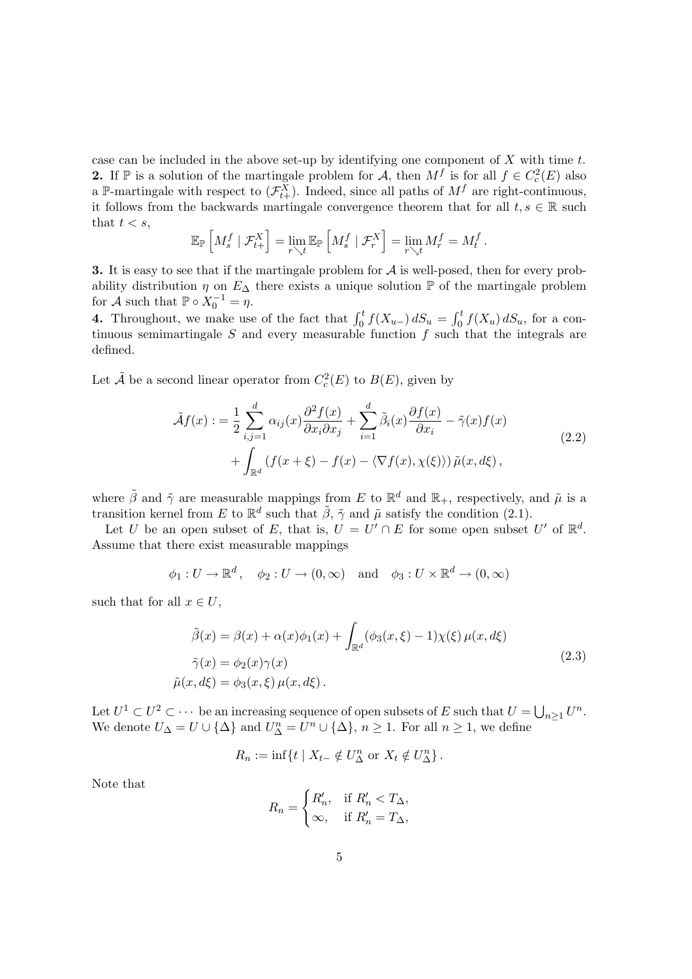case can be included in the above set-up by identifying one component of  $X$  with time  $t$ . **2.** If  $\mathbb{P}$  is a solution of the martingale problem for A, then  $M^f$  is for all  $f \in C_c^2(E)$  also a P-martingale with respect to  $(\mathcal{F}_{t+}^X)$ . Indeed, since all paths of  $M^f$  are right-continuous, it follows from the backwards martingale convergence theorem that for all  $t, s \in \mathbb{R}$  such that  $t < s$ , h i h i

$$
\mathbb{E}_{\mathbb{P}}\left[M_s^f \mid \mathcal{F}_{t+}^X\right] = \lim_{r \searrow t} \mathbb{E}_{\mathbb{P}}\left[M_s^f \mid \mathcal{F}_r^X\right] = \lim_{r \searrow t} M_r^f = M_t^f.
$$

**3.** It is easy to see that if the martingale problem for  $A$  is well-posed, then for every probability distribution  $\eta$  on  $E_{\Delta}$  there exists a unique solution  $\mathbb P$  of the martingale problem for A such that  $\mathbb{P} \circ X_0^{-1} = \eta$ .

4. Throughout, we make use of the fact that  $\int_0^t f(X_{u-}) dS_u = \int_0^t f(X_{u-}) dS_u$  $\int_0^t f(X_u) dS_u$ , for a continuous semimartingale  $S$  and every measurable function  $f$  such that the integrals are defined.

Let  $\tilde{A}$  be a second linear operator from  $C_c^2(E)$  to  $B(E)$ , given by

$$
\tilde{\mathcal{A}}f(x) := \frac{1}{2} \sum_{i,j=1}^{d} \alpha_{ij}(x) \frac{\partial^2 f(x)}{\partial x_i \partial x_j} + \sum_{i=1}^{d} \tilde{\beta}_i(x) \frac{\partial f(x)}{\partial x_i} - \tilde{\gamma}(x) f(x) \n+ \int_{\mathbb{R}^d} \left( f(x + \xi) - f(x) - \langle \nabla f(x), \chi(\xi) \rangle \right) \tilde{\mu}(x, d\xi),
$$
\n(2.2)

where  $\tilde{\beta}$  and  $\tilde{\gamma}$  are measurable mappings from E to  $\mathbb{R}^d$  and  $\mathbb{R}_+$ , respectively, and  $\tilde{\mu}$  is a transition kernel from E to  $\mathbb{R}^d$  such that  $\tilde{\beta}$ ,  $\tilde{\gamma}$  and  $\tilde{\mu}$  satisfy the condition (2.1).

Let U be an open subset of E, that is,  $U = U' \cap E$  for some open subset U' of  $\mathbb{R}^d$ . Assume that there exist measurable mappings

$$
\phi_1: U \to \mathbb{R}^d
$$
,  $\phi_2: U \to (0, \infty)$  and  $\phi_3: U \times \mathbb{R}^d \to (0, \infty)$ 

such that for all  $x \in U$ ,

$$
\tilde{\beta}(x) = \beta(x) + \alpha(x)\phi_1(x) + \int_{\mathbb{R}^d} (\phi_3(x,\xi) - 1)\chi(\xi)\,\mu(x,d\xi)
$$
\n
$$
\tilde{\gamma}(x) = \phi_2(x)\gamma(x)
$$
\n
$$
\tilde{\mu}(x,d\xi) = \phi_3(x,\xi)\,\mu(x,d\xi).
$$
\n(2.3)

Let  $U^1 \subset U^2 \subset \cdots$  be an increasing sequence of open subsets of E such that  $U = \bigcup$  $n \geq 1$   $U^n$ . We denote  $U_{\Delta} = U \cup {\{\Delta\}}$  and  $U_{\Delta}^n = U^n \cup {\{\Delta\}}$ ,  $n \ge 1$ . For all  $n \ge 1$ , we define

$$
R_n := \inf\{t \mid X_{t-} \notin U_{\Delta}^n \text{ or } X_t \notin U_{\Delta}^n\}.
$$

Note that

$$
R_n = \begin{cases} R'_n, & \text{if } R'_n < T_\Delta, \\ \infty, & \text{if } R'_n = T_\Delta, \end{cases}
$$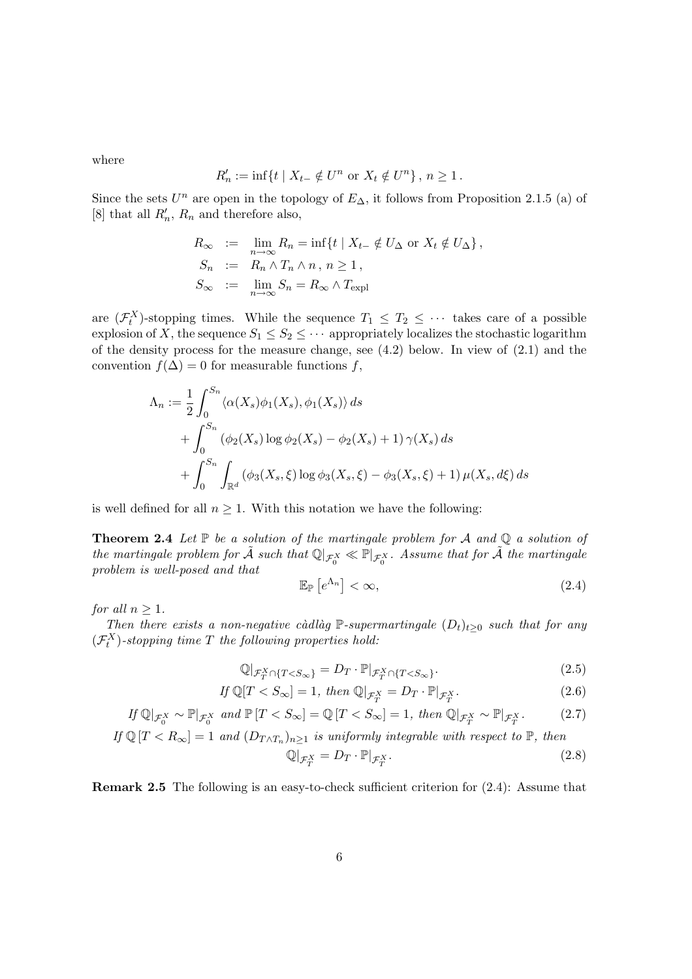where

$$
R'_n := \inf\{t \mid X_{t-} \notin U^n \text{ or } X_t \notin U^n\}, n \ge 1.
$$

Since the sets  $U^n$  are open in the topology of  $E_{\Delta}$ , it follows from Proposition 2.1.5 (a) of [8] that all  $R'_n$ ,  $R_n$  and therefore also,

$$
R_{\infty} := \lim_{n \to \infty} R_n = \inf \{ t \mid X_{t-} \notin U_{\Delta} \text{ or } X_t \notin U_{\Delta} \},
$$
  
\n
$$
S_n := R_n \wedge T_n \wedge n, n \ge 1,
$$
  
\n
$$
S_{\infty} := \lim_{n \to \infty} S_n = R_{\infty} \wedge T_{\text{expl}}
$$

are  $(\mathcal{F}_t^X)$ -stopping times. While the sequence  $T_1 \leq T_2 \leq \cdots$  takes care of a possible explosion of X, the sequence  $S_1 \leq S_2 \leq \cdots$  appropriately localizes the stochastic logarithm of the density process for the measure change, see (4.2) below. In view of (2.1) and the convention  $f(\Delta) = 0$  for measurable functions f,

$$
\Lambda_n := \frac{1}{2} \int_0^{S_n} \langle \alpha(X_s) \phi_1(X_s), \phi_1(X_s) \rangle ds
$$
  
+ 
$$
\int_0^{S_n} (\phi_2(X_s) \log \phi_2(X_s) - \phi_2(X_s) + 1) \gamma(X_s) ds
$$
  
+ 
$$
\int_0^{S_n} \int_{\mathbb{R}^d} (\phi_3(X_s, \xi) \log \phi_3(X_s, \xi) - \phi_3(X_s, \xi) + 1) \mu(X_s, d\xi) ds
$$

is well defined for all  $n \geq 1$ . With this notation we have the following:

**Theorem 2.4** Let  $\mathbb P$  be a solution of the martingale problem for  $\mathcal A$  and  $\mathbb Q$  a solution of the martingale problem for  $\tilde{A}$  such that  $\mathbb{Q}|_{\mathcal{F}_0^X} \ll \mathbb{P}|_{\mathcal{F}_0^X}$ . Assume that for  $\tilde{A}$  the martingale problem is well-posed and that £ l<br>m

$$
\mathbb{E}_{\mathbb{P}}\left[e^{\Lambda_n}\right] < \infty,\tag{2.4}
$$

for all  $n \geq 1$ .

Then there exists a non-negative càdlàg P-supermartingale  $(D_t)_{t\geq 0}$  such that for any  $(\mathcal{F}^X_t)$ -stopping time T the following properties hold:

$$
\mathbb{Q}|_{\mathcal{F}_T^X \cap \{T < S_\infty\}} = D_T \cdot \mathbb{P}|_{\mathcal{F}_T^X \cap \{T < S_\infty\}}.\tag{2.5}
$$

$$
If \mathbb{Q}[T < S_{\infty}] = 1, then \mathbb{Q}|_{\mathcal{F}_T^X} = D_T \cdot \mathbb{P}|_{\mathcal{F}_T^X}.\tag{2.6}
$$

$$
If \mathbb{Q}|_{\mathcal{F}_0^X} \sim \mathbb{P}|_{\mathcal{F}_0^X} \text{ and } \mathbb{P}[T < S_\infty] = \mathbb{Q}[T < S_\infty] = 1, \text{ then } \mathbb{Q}|_{\mathcal{F}_T^X} \sim \mathbb{P}|_{\mathcal{F}_T^X}. \tag{2.7}
$$

If 
$$
\mathbb{Q}[T < R_{\infty}] = 1
$$
 and  $(D_{T \wedge T_n})_{n \geq 1}$  is uniformly integrable with respect to  $\mathbb{P}$ , then

$$
\mathbb{Q}|_{\mathcal{F}_T^X} = D_T \cdot \mathbb{P}|_{\mathcal{F}_T^X}.\tag{2.8}
$$

Remark 2.5 The following is an easy-to-check sufficient criterion for (2.4): Assume that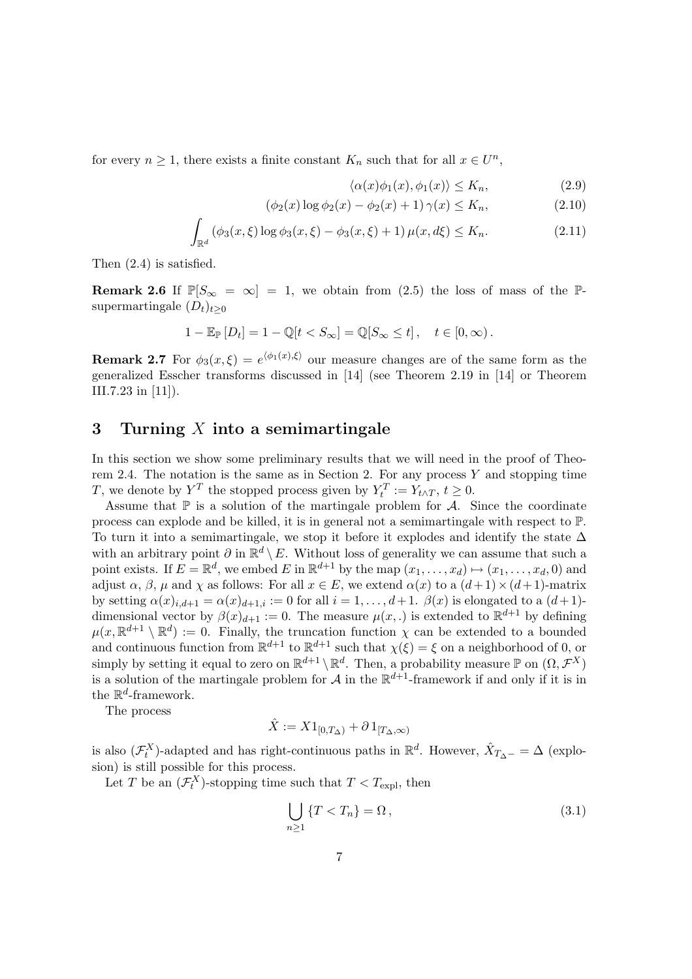for every  $n \geq 1$ , there exists a finite constant  $K_n$  such that for all  $x \in U^n$ ,

$$
\langle \alpha(x)\phi_1(x), \phi_1(x) \rangle \le K_n,\tag{2.9}
$$

$$
(\phi_2(x) \log \phi_2(x) - \phi_2(x) + 1) \gamma(x) \le K_n,
$$
\n(2.10)

$$
\int_{\mathbb{R}^d} (\phi_3(x,\xi) \log \phi_3(x,\xi) - \phi_3(x,\xi) + 1) \,\mu(x,d\xi) \le K_n. \tag{2.11}
$$

Then (2.4) is satisfied.

**Remark 2.6** If  $\mathbb{P}[S_{\infty} = \infty] = 1$ , we obtain from (2.5) the loss of mass of the  $\mathbb{P}$ supermartingale  $(D_t)_{t\geq0}$ 

$$
1 - \mathbb{E}_{\mathbb{P}}\left[D_t\right] = 1 - \mathbb{Q}[t < S_{\infty}] = \mathbb{Q}[S_{\infty} \leq t], \quad t \in [0, \infty).
$$

**Remark 2.7** For  $\phi_3(x,\xi) = e^{\langle \phi_1(x),\xi \rangle}$  our measure changes are of the same form as the generalized Esscher transforms discussed in [14] (see Theorem 2.19 in [14] or Theorem III.7.23 in [11]).

#### 3 Turning  $X$  into a semimartingale

In this section we show some preliminary results that we will need in the proof of Theorem 2.4. The notation is the same as in Section 2. For any process  $Y$  and stopping time T, we denote by  $Y^T$  the stopped process given by  $Y_t^T := Y_{t \wedge T}, t \ge 0$ .

Assume that  $\mathbb P$  is a solution of the martingale problem for  $\mathcal A$ . Since the coordinate process can explode and be killed, it is in general not a semimartingale with respect to P. To turn it into a semimartingale, we stop it before it explodes and identify the state  $\Delta$ with an arbitrary point  $\partial$  in  $\mathbb{R}^d \setminus E$ . Without loss of generality we can assume that such a point exists. If  $E = \mathbb{R}^d$ , we embed E in  $\mathbb{R}^{d+1}$  by the map  $(x_1, \ldots, x_d) \mapsto (x_1, \ldots, x_d, 0)$  and adjust  $\alpha$ ,  $\beta$ ,  $\mu$  and  $\chi$  as follows: For all  $x \in E$ , we extend  $\alpha(x)$  to a  $(d+1) \times (d+1)$ -matrix by setting  $\alpha(x)_{i,d+1} = \alpha(x)_{d+1,i} := 0$  for all  $i = 1, \ldots, d+1$ .  $\beta(x)$  is elongated to a  $(d+1)$ dimensional vector by  $\beta(x)_{d+1} := 0$ . The measure  $\mu(x,.)$  is extended to  $\mathbb{R}^{d+1}$  by defining  $\mu(x, \mathbb{R}^{d+1} \setminus \mathbb{R}^d) := 0$ . Finally, the truncation function  $\chi$  can be extended to a bounded and continuous function from  $\mathbb{R}^{d+1}$  to  $\mathbb{R}^{d+1}$  such that  $\chi(\xi) = \xi$  on a neighborhood of 0, or simply by setting it equal to zero on  $\mathbb{R}^{d+1} \setminus \mathbb{R}^d$ . Then, a probability measure  $\mathbb{P}$  on  $(\Omega, \mathcal{F}^X)$ is a solution of the martingale problem for  $\mathcal A$  in the  $\mathbb R^{d+1}$ -framework if and only if it is in the  $\mathbb{R}^d$ -framework.

The process

$$
\hat{X}:=X1_{[0,T_\Delta)}+\partial\,1_{[T_\Delta,\infty)}
$$

is also  $(\mathcal{F}^X_t)$ -adapted and has right-continuous paths in  $\mathbb{R}^d$ . However,  $\hat{X}_{T_{\Delta}-} = \Delta$  (explosion) is still possible for this process.

Let T be an  $(\mathcal{F}^X_t)$ -stopping time such that  $T < T_{\text{expl}}$ , then

$$
\bigcup_{n\geq 1} \{T < T_n\} = \Omega\,,\tag{3.1}
$$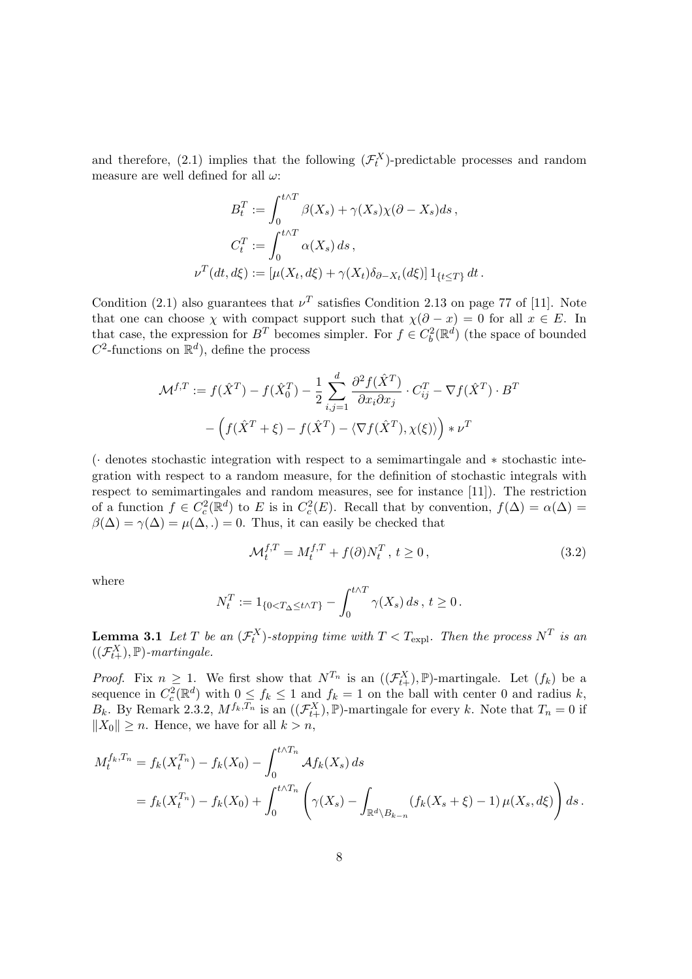and therefore, (2.1) implies that the following  $(\mathcal{F}_t^X)$ -predictable processes and random measure are well defined for all  $\omega$ :

$$
B_t^T := \int_0^{t \wedge T} \beta(X_s) + \gamma(X_s) \chi(\partial - X_s) ds,
$$
  

$$
C_t^T := \int_0^{t \wedge T} \alpha(X_s) ds,
$$
  

$$
\nu^T(dt, d\xi) := [\mu(X_t, d\xi) + \gamma(X_t) \delta_{\partial - X_t}(d\xi)] \mathbf{1}_{\{t \le T\}} dt.
$$

Condition (2.1) also guarantees that  $\nu^T$  satisfies Condition 2.13 on page 77 of [11]. Note that one can choose  $\chi$  with compact support such that  $\chi(\partial - x) = 0$  for all  $x \in E$ . In that case, the expression for  $B<sup>T</sup>$  becomes simpler. For  $f \in C_b^2(\mathbb{R}^d)$  (the space of bounded  $C^2$ -functions on  $\mathbb{R}^d$ , define the process

$$
\mathcal{M}^{f,T} := f(\hat{X}^T) - f(\hat{X}_0^T) - \frac{1}{2} \sum_{i,j=1}^d \frac{\partial^2 f(\hat{X}^T)}{\partial x_i \partial x_j} \cdot C_{ij}^T - \nabla f(\hat{X}^T) \cdot B^T
$$

$$
- \left( f(\hat{X}^T + \xi) - f(\hat{X}^T) - \langle \nabla f(\hat{X}^T), \chi(\xi) \rangle \right) * \nu^T
$$

(· denotes stochastic integration with respect to a semimartingale and ∗ stochastic integration with respect to a random measure, for the definition of stochastic integrals with respect to semimartingales and random measures, see for instance [11]). The restriction of a function  $f \in C_c^2(\mathbb{R}^d)$  to E is in  $C_c^2(E)$ . Recall that by convention,  $f(\Delta) = \alpha(\Delta) =$  $\beta(\Delta) = \gamma(\Delta) = \mu(\Delta, .) = 0$ . Thus, it can easily be checked that

$$
\mathcal{M}_t^{f,T} = M_t^{f,T} + f(\partial) N_t^T, \ t \ge 0,
$$
\n(3.2)

where

$$
N_t^T := 1_{\{0 < T_\Delta \le t \wedge T\}} - \int_0^{t \wedge T} \gamma(X_s) ds, t \ge 0.
$$

**Lemma 3.1** Let T be an  $(\mathcal{F}^X_t)$ -stopping time with  $T < T_{\text{expl}}$ . Then the process  $N^T$  is an  $((\mathcal{F}_{t+}^X), \mathbb{P})$ -martingale.

*Proof.* Fix  $n \geq 1$ . We first show that  $N^{T_n}$  is an  $((\mathcal{F}_{t+}^X), \mathbb{P})$ -martingale. Let  $(f_k)$  be a sequence in  $C_c^2(\mathbb{R}^d)$  with  $0 \le f_k \le 1$  and  $f_k = 1$  on the ball with center 0 and radius k,  $B_k$ . By Remark 2.3.2,  $M^{f_k,T_n}$  is an  $((\mathcal{F}_{t+}^X), \mathbb{P})$ -martingale for every k. Note that  $T_n = 0$  if  $||X_0|| \geq n$ . Hence, we have for all  $k > n$ ,

$$
M_t^{f_k, T_n} = f_k(X_t^{T_n}) - f_k(X_0) - \int_0^{t \wedge T_n} Af_k(X_s) ds
$$
  
=  $f_k(X_t^{T_n}) - f_k(X_0) + \int_0^{t \wedge T_n} \left( \gamma(X_s) - \int_{\mathbb{R}^d \setminus B_{k-n}} (f_k(X_s + \xi) - 1) \mu(X_s, d\xi) \right) ds.$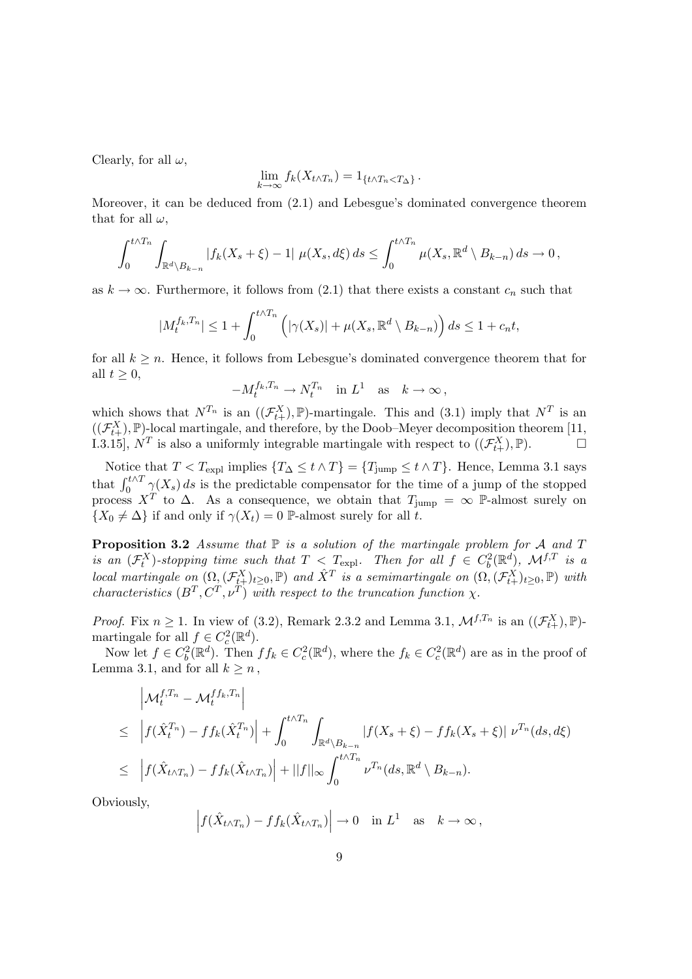Clearly, for all  $\omega$ ,

$$
\lim_{k \to \infty} f_k(X_{t \wedge T_n}) = 1_{\{t \wedge T_n < T_\Delta\}}.
$$

Moreover, it can be deduced from (2.1) and Lebesgue's dominated convergence theorem that for all  $\omega$ ,

$$
\int_0^{t\wedge T_n}\int_{\mathbb{R}^d\backslash B_{k-n}}|f_k(X_s+\xi)-1|\,\,\mu(X_s,d\xi)\,ds\leq \int_0^{t\wedge T_n}\mu(X_s,\mathbb{R}^d\setminus B_{k-n})\,ds\to 0\,,
$$

as  $k \to \infty$ . Furthermore, it follows from (2.1) that there exists a constant  $c_n$  such that

$$
|M_t^{f_k,T_n}| \le 1 + \int_0^{t \wedge T_n} \left( |\gamma(X_s)| + \mu(X_s, \mathbb{R}^d \setminus B_{k-n}) \right) ds \le 1 + c_n t,
$$

for all  $k \geq n$ . Hence, it follows from Lebesgue's dominated convergence theorem that for all  $t \geq 0$ ,

$$
-M_t^{f_k,T_n}\to N_t^{T_n}\quad\text{in }L^1\quad\text{as}\quad k\to\infty\,,
$$

which shows that  $N^{T_n}$  is an  $((\mathcal{F}_{t+}^X), \mathbb{P})$ -martingale. This and  $(3.1)$  imply that  $N^T$  is an  $((\mathcal{F}_{t+}^X), \mathbb{P})$ -local martingale, and therefore, by the Doob–Meyer decomposition theorem [11, I.3.15],  $N^T$  is also a uniformly integrable martingale with respect to  $((\mathcal{F}_{t+}^X), \mathbb{P})$ .

Notice that  $T < T_{\text{expl}}$  implies  $\{T_{\Delta} \le t \wedge T\} = \{T_{\text{jump}} \le t \wedge T\}$ . Hence, Lemma 3.1 says Forte that  $T \leq T \leq T \leq T$  is the predictable compensator for the time of a jump of the stopped that  $\int_0^{t \wedge T} \gamma(X_s) ds$  is the predictable compensator for the time of a jump of the stopped process  $X^T$  to  $\Delta$ . As a consequence, we obtain that  $T_{\text{jump}} = \infty$  P-almost surely on  $\{X_0 \neq \Delta\}$  if and only if  $\gamma(X_t) = 0$  P-almost surely for all t.

**Proposition 3.2** Assume that  $\mathbb P$  is a solution of the martingale problem for  $\mathcal A$  and  $T$ is an  $(\mathcal{F}^X_t)$ -stopping time such that  $T < T_{\text{expl}}$ . Then for all  $f \in C_b^2(\mathbb{R}^d)$ ,  $\mathcal{M}^{f,T}$  is a local martingale on  $(\Omega, (\mathcal{F}_{t+}^X)_{t\geq 0}, \mathbb{P})$  and  $\hat{X}^T$  is a semimartingale on  $(\Omega, (\mathcal{F}_{t+}^X)_{t\geq 0}, \mathbb{P})$  with characteristics  $(B^T, C^T, \nu^T)$  with respect to the truncation function  $\chi$ .

*Proof.* Fix  $n \geq 1$ . In view of (3.2), Remark 2.3.2 and Lemma 3.1,  $\mathcal{M}^{f,T_n}$  is an  $((\mathcal{F}_{t+}^X), \mathbb{P})$ martingale for all  $f \in C_c^2(\mathbb{R}^d)$ .

Now let  $f \in C_b^2(\mathbb{R}^d)$ . Then  $ff_k \in C_c^2(\mathbb{R}^d)$ , where the  $f_k \in C_c^2(\mathbb{R}^d)$  are as in the proof of Lemma 3.1, and for all  $k \geq n$ ,

$$
\left| \mathcal{M}_t^{f,T_n} - \mathcal{M}_t^{ff_k,T_n} \right|
$$
\n
$$
\leq \left| f(\hat{X}_t^{T_n}) - ff_k(\hat{X}_t^{T_n}) \right| + \int_0^{t \wedge T_n} \int_{\mathbb{R}^d \backslash B_{k-n}} |f(X_s + \xi) - ff_k(X_s + \xi)| \nu^{T_n}(ds, d\xi)
$$
\n
$$
\leq \left| f(\hat{X}_{t \wedge T_n}) - ff_k(\hat{X}_{t \wedge T_n}) \right| + ||f||_{\infty} \int_0^{t \wedge T_n} \nu^{T_n}(ds, \mathbb{R}^d \backslash B_{k-n}).
$$

Obviously,

$$
\left| f(\hat{X}_{t \wedge T_n}) - f f_k(\hat{X}_{t \wedge T_n}) \right| \to 0 \quad \text{in } L^1 \quad \text{as} \quad k \to \infty \,,
$$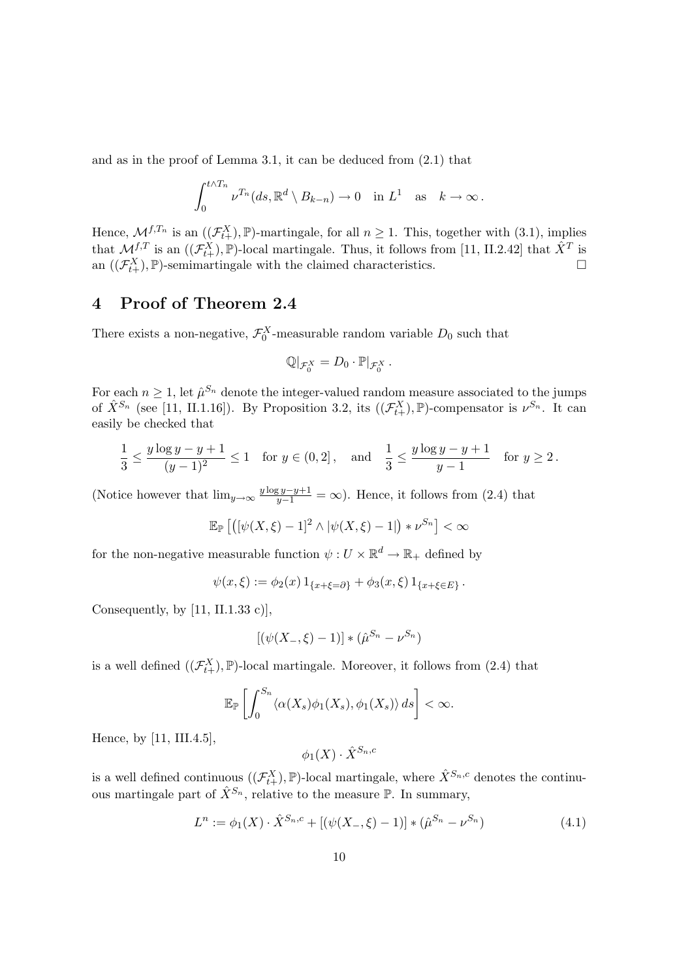and as in the proof of Lemma 3.1, it can be deduced from (2.1) that

$$
\int_0^{t\wedge T_n} \nu^{T_n}(ds,\mathbb{R}^d\setminus B_{k-n})\to 0 \text{ in } L^1 \text{ as } k\to\infty.
$$

Hence,  $\mathcal{M}^{f,T_n}$  is an  $((\mathcal{F}^X_{t+}), \mathbb{P})$ -martingale, for all  $n \geq 1$ . This, together with  $(3.1)$ , implies that  $\mathcal{M}^{f,T}$  is an  $((\mathcal{F}^X_{t+}), \mathbb{P})$ -local martingale. Thus, it follows from [11, II.2.42] that  $\hat{X}^T$  is an  $((\mathcal{F}_{t+}^X), \mathbb{P})$ -semimartingale with the claimed characteristics.  $\Box$ 

#### 4 Proof of Theorem 2.4

There exists a non-negative,  $\mathcal{F}_0^X$ -measurable random variable  $D_0$  such that

$$
\mathbb{Q}|_{\mathcal{F}_0^X}=D_0\cdot\mathbb{P}|_{\mathcal{F}_0^X}.
$$

For each  $n \geq 1$ , let  $\hat{\mu}^{S_n}$  denote the integer-valued random measure associated to the jumps of  $\hat{X}^{S_n}$  (see [11, II.1.16]). By Proposition 3.2, its  $((\mathcal{F}_{t+}^X), \mathbb{P})$ -compensator is  $\nu^{S_n}$ . It can easily be checked that

$$
\frac{1}{3} \le \frac{y \log y - y + 1}{(y - 1)^2} \le 1 \quad \text{for } y \in (0, 2], \quad \text{and} \quad \frac{1}{3} \le \frac{y \log y - y + 1}{y - 1} \quad \text{for } y \ge 2.
$$

(Notice however that  $\lim_{y\to\infty} \frac{y \log y - y + 1}{y-1} = \infty$ ). Hence, it follows from (2.4) that

$$
\mathbb{E}_{\mathbb{P}}\left[\left(\left[\psi(X,\xi)-1\right]^2 \wedge |\psi(X,\xi)-1|\right)*\nu^{S_n}\right]<\infty
$$

for the non-negative measurable function  $\psi: U \times \mathbb{R}^d \to \mathbb{R}_+$  defined by

$$
\psi(x,\xi) := \phi_2(x) 1_{\{x+\xi=\partial\}} + \phi_3(x,\xi) 1_{\{x+\xi\in E\}}.
$$

Consequently, by [11, II.1.33 c)],

$$
[(\psi(X_-, \xi) - 1)] * (\hat{\mu}^{S_n} - \nu^{S_n})
$$

is a well defined  $((\mathcal{F}_{t+}^X), \mathbb{P})$ -local martingale. Moreover, it follows from (2.4) that

$$
\mathbb{E}_{\mathbb{P}}\left[\int_0^{S_n} \langle \alpha(X_s)\phi_1(X_s), \phi_1(X_s)\rangle ds\right] < \infty.
$$

Hence, by [11, III.4.5],

 $\phi_1(X) \cdot \hat{X}^{S_n,c}$ 

is a well defined continuous  $((\mathcal{F}_{t+}^X), \mathbb{P})$ -local martingale, where  $\hat{X}^{S_n,c}$  denotes the continuous martingale part of  $\hat{X}^{S_n}$ , relative to the measure  $\mathbb{P}$ . In summary,

$$
L^n := \phi_1(X) \cdot \hat{X}^{S_n, c} + [(\psi(X_-, \xi) - 1)] * (\hat{\mu}^{S_n} - \nu^{S_n})
$$
\n(4.1)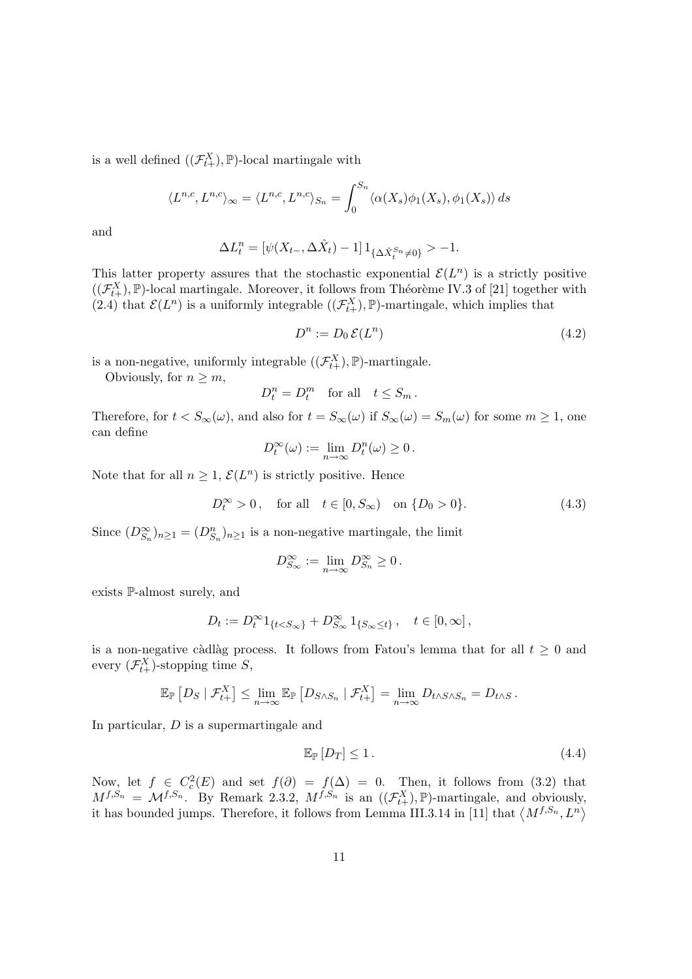is a well defined  $((\mathcal{F}_{t+}^X), \mathbb{P})$ -local martingale with

$$
\langle L^{n,c}, L^{n,c} \rangle_{\infty} = \langle L^{n,c}, L^{n,c} \rangle_{S_n} = \int_0^{S_n} \langle \alpha(X_s) \phi_1(X_s), \phi_1(X_s) \rangle ds
$$

and

$$
\Delta L_t^n = [\psi(X_{t-}, \Delta \hat{X}_t) - 1] \, 1_{\{\Delta \hat{X}_t^{S_n} \neq 0\}} > -1.
$$

This latter property assures that the stochastic exponential  $\mathcal{E}(L^n)$  is a strictly positive  $((\mathcal{F}_{t+}^X), \mathbb{P})$ -local martingale. Moreover, it follows from Théorème IV.3 of [21] together with (2.4) that  $\mathcal{E}(L^n)$  is a uniformly integrable  $((\mathcal{F}_{t+}^X), \mathbb{P})$ -martingale, which implies that

$$
D^n := D_0 \mathcal{E}(L^n) \tag{4.2}
$$

is a non-negative, uniformly integrable  $((\mathcal{F}_{t+}^X), \mathbb{P})$ -martingale.

Obviously, for  $n \geq m$ ,

$$
D_t^n = D_t^m \quad \text{for all} \quad t \le S_m \, .
$$

Therefore, for  $t < S_{\infty}(\omega)$ , and also for  $t = S_{\infty}(\omega)$  if  $S_{\infty}(\omega) = S_m(\omega)$  for some  $m \ge 1$ , one can define

$$
D_t^{\infty}(\omega) := \lim_{n \to \infty} D_t^n(\omega) \ge 0.
$$

Note that for all  $n \geq 1$ ,  $\mathcal{E}(L^n)$  is strictly positive. Hence

$$
D_t^{\infty} > 0
$$
, for all  $t \in [0, S_{\infty})$  on  $\{D_0 > 0\}$ . (4.3)

Since  $(D_{S_n}^{\infty})_{n\geq 1} = (D_{S_n}^n)_{n\geq 1}$  is a non-negative martingale, the limit

$$
D_{S_{\infty}}^{\infty}:=\lim_{n\to\infty}D_{S_n}^{\infty}\geq 0\,.
$$

exists P-almost surely, and

$$
D_t := D_t^{\infty} 1_{\{t < S_{\infty}\}} + D_{S_{\infty}}^{\infty} 1_{\{S_{\infty} \le t\}}, \quad t \in [0, \infty],
$$

is a non-negative càdlàg process. It follows from Fatou's lemma that for all  $t \geq 0$  and every  $(\mathcal{F}_{t+}^X)$ -stopping time S,

$$
\mathbb{E}_{\mathbb{P}}\left[D_S \mid \mathcal{F}_{t+}^X\right] \leq \lim_{n \to \infty} \mathbb{E}_{\mathbb{P}}\left[D_{S \wedge S_n} \mid \mathcal{F}_{t+}^X\right] = \lim_{n \to \infty} D_{t \wedge S \wedge S_n} = D_{t \wedge S}.
$$

In particular, D is a supermartingale and

$$
\mathbb{E}_{\mathbb{P}}\left[D_T\right] \le 1\,. \tag{4.4}
$$

Now, let  $f \in C_c^2(E)$  and set  $f(\partial) = f(\Delta) = 0$ . Then, it follows from (3.2) that  $M^{f,S_n} = \mathcal{M}^{f,S_n}$ . By Remark 2.3.2,  $M^{f,S_n}$  is an  $((\mathcal{F}_{t+}^X), \mathbb{P})$ -martingale, and obviously,  $M^{j,s,n} = \mathcal{M}^{j,s,n}$ . By Remark 2.3.2,  $M^{j,s,n}$  is an  $((\mathcal{F}_{t+1}^i), \mathbb{F})$ -martingale, and obviously it has bounded jumps. Therefore, it follows from Lemma III.3.14 in [11] that  $\langle M^{f,S_n}, L^n \rangle$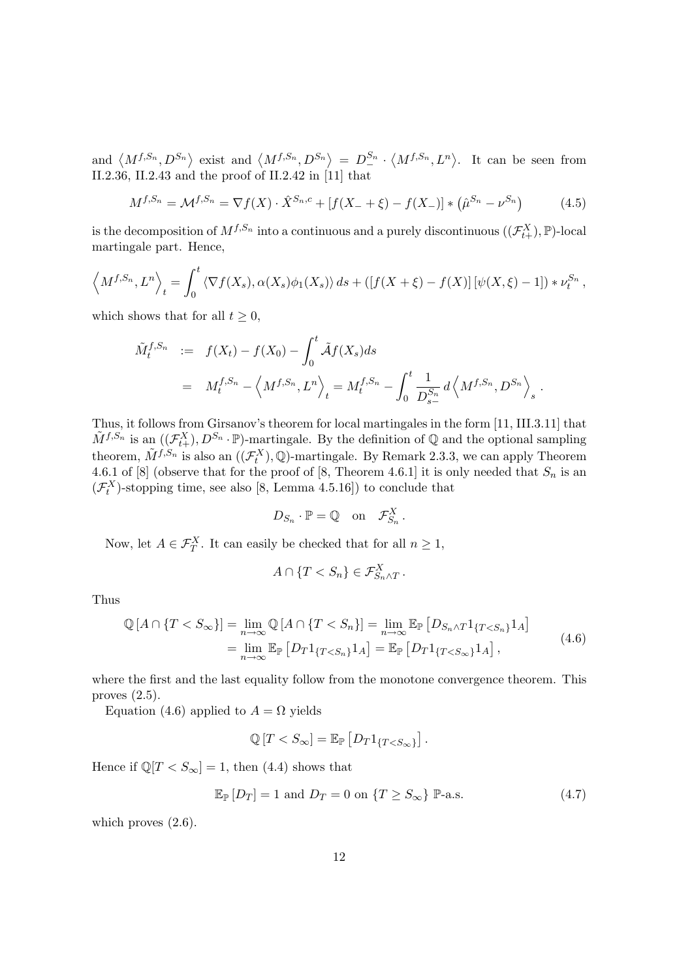and  $\langle M^{f,S_n}, D^{S_n} \rangle$  exist and  $\langle M^{f,S_n}, D^{S_n} \rangle$  $= D_{-}^{S_n}$ .  $\langle M^{f,S_n}, L^n \rangle$ . It can be seen from II.2.36, II.2.43 and the proof of II.2.42 in [11] that

$$
M^{f,S_n} = \mathcal{M}^{f,S_n} = \nabla f(X) \cdot \hat{X}^{S_n,c} + [f(X_- + \xi) - f(X_-)] * (\hat{\mu}^{S_n} - \nu^{S_n})
$$
(4.5)

is the decomposition of  $M^{f,S_n}$  into a continuous and a purely discontinuous  $((\mathcal{F}_{t+}^X), \mathbb{P})$ -local martingale part. Hence,

$$
\langle M^{f,S_n}, L^n \rangle_t = \int_0^t \langle \nabla f(X_s), \alpha(X_s) \phi_1(X_s) \rangle ds + \left( \left[ f(X + \xi) - f(X) \right] \left[ \psi(X, \xi) - 1 \right] \right) * \nu_t^{S_n},
$$

which shows that for all  $t \geq 0$ ,

$$
\tilde{M}_t^{f,S_n} := f(X_t) - f(X_0) - \int_0^t \tilde{\mathcal{A}}f(X_s)ds \n= M_t^{f,S_n} - \left\langle M^{f,S_n}, L^n \right\rangle_t = M_t^{f,S_n} - \int_0^t \frac{1}{D_{s-}^{S_n}} d\left\langle M^{f,S_n}, D^{S_n} \right\rangle_s.
$$

Thus, it follows from Girsanov's theorem for local martingales in the form [11, III.3.11] that  $\tilde{M}^{f,S_n}$  is an  $((\mathcal{F}_{t+}^X), D^{S_n} \cdot \mathbb{P})$ -martingale. By the definition of Q and the optional sampling theorem,  $\tilde{M}^{f, S_n}$  is also an  $((\mathcal{F}^X_t), \mathbb{Q})$ -martingale. By Remark 2.3.3, we can apply Theorem 4.6.1 of [8] (observe that for the proof of [8, Theorem 4.6.1] it is only needed that  $S_n$  is an  $(\mathcal{F}_{t}^{X})$ -stopping time, see also [8, Lemma 4.5.16]) to conclude that

$$
D_{S_n} \cdot \mathbb{P} = \mathbb{Q} \quad \text{on} \quad \mathcal{F}_{S_n}^X \, .
$$

Now, let  $A \in \mathcal{F}_T^X$ . It can easily be checked that for all  $n \geq 1$ ,

$$
A \cap \{T < S_n\} \in \mathcal{F}_{S_n \wedge T}^X \, .
$$

Thus

$$
\mathbb{Q}[A \cap \{T < S_{\infty}\}] = \lim_{n \to \infty} \mathbb{Q}[A \cap \{T < S_n\}] = \lim_{n \to \infty} \mathbb{E}_{\mathbb{P}}\left[D_{S_n \wedge T} 1_{\{T < S_n\}} 1_A\right]
$$
\n
$$
= \lim_{n \to \infty} \mathbb{E}_{\mathbb{P}}\left[D_{T} 1_{\{T < S_n\}} 1_A\right] = \mathbb{E}_{\mathbb{P}}\left[D_{T} 1_{\{T < S_{\infty}\}} 1_A\right],\tag{4.6}
$$

where the first and the last equality follow from the monotone convergence theorem. This proves (2.5).

Equation (4.6) applied to  $A = \Omega$  yields

$$
\mathbb{Q}[T < S_{\infty}] = \mathbb{E}_{\mathbb{P}}[D_T 1_{\{T < S_{\infty}\}}].
$$

Hence if  $\mathbb{Q}[T < S_{\infty}] = 1$ , then (4.4) shows that

$$
\mathbb{E}_{\mathbb{P}}[D_T] = 1 \text{ and } D_T = 0 \text{ on } \{T \ge S_{\infty}\} \mathbb{P}\text{-a.s.}
$$
\n(4.7)

which proves  $(2.6)$ .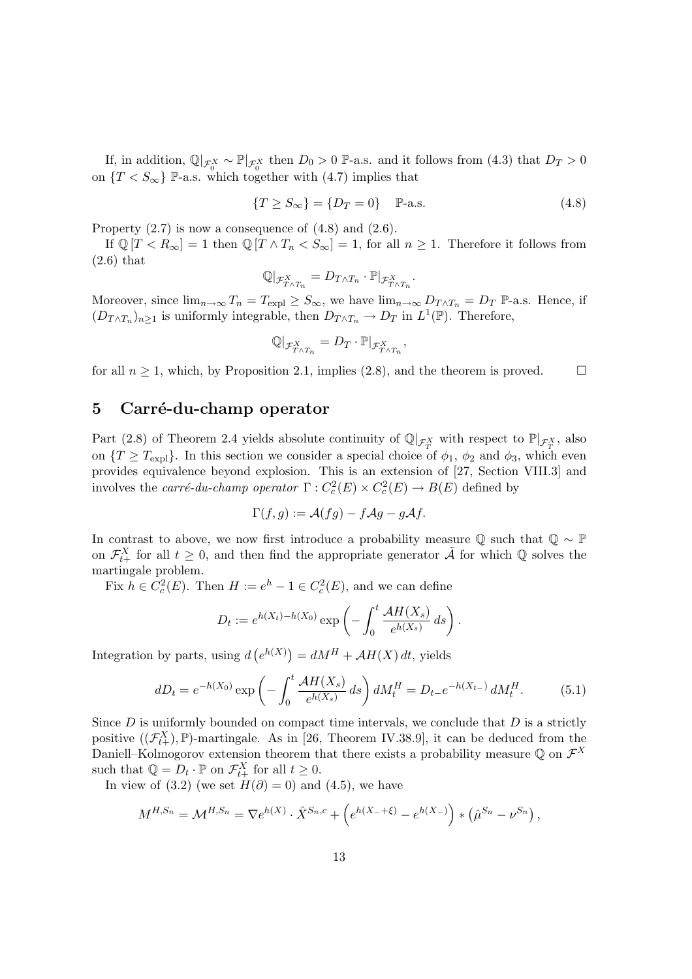If, in addition,  $\mathbb{Q}|_{\mathcal{F}_0^X} \sim \mathbb{P}|_{\mathcal{F}_0^X}$  then  $D_0 > 0$  P-a.s. and it follows from  $(4.3)$  that  $D_T > 0$ on  $\{T \leq S_{\infty}\}\$  P-a.s. which together with  $(4.7)$  implies that

$$
\{T \ge S_{\infty}\} = \{D_T = 0\} \quad \mathbb{P}\text{-a.s.} \tag{4.8}
$$

Property  $(2.7)$  is now a consequence of  $(4.8)$  and  $(2.6)$ .

If  $\mathbb{Q}[T < R_{\infty}] = 1$  then  $\mathbb{Q}[T \wedge T_n < S_{\infty}] = 1$ , for all  $n \geq 1$ . Therefore it follows from (2.6) that

$$
\mathbb{Q}|_{\mathcal{F}_{T\wedge T_n}^X}=D_{T\wedge T_n}\cdot \mathbb{P}|_{\mathcal{F}_{T\wedge T_n}^X}.
$$

Moreover, since  $\lim_{n\to\infty} T_n = T_{\text{expl}} \geq S_\infty$ , we have  $\lim_{n\to\infty} D_{T \wedge T_n} = D_T \mathbb{P}$ -a.s. Hence, if  $(D_{T \wedge T_n})_{n \geq 1}$  is uniformly integrable, then  $D_{T \wedge T_n} \to D_T$  in  $L^1(\mathbb{P})$ . Therefore,

$$
\mathbb{Q}|_{\mathcal{F}_{T\wedge T_n}^X}=D_T\cdot\mathbb{P}|_{\mathcal{F}_{T\wedge T_n}^X},
$$

for all  $n \geq 1$ , which, by Proposition 2.1, implies (2.8), and the theorem is proved.  $\Box$ 

#### 5 Carré-du-champ operator

Part (2.8) of Theorem 2.4 yields absolute continuity of  $\mathbb{Q}|_{\mathcal{F}_{T}^X}$  with respect to  $\mathbb{P}|_{\mathcal{F}_{T}^X}$ , also on  $\{T \geq T_{\text{expl}}\}$ . In this section we consider a special choice of  $\phi_1$ ,  $\phi_2$  and  $\phi_3$ , which even provides equivalence beyond explosion. This is an extension of [27, Section VIII.3] and involves the *carré-du-champ operator*  $\Gamma : C_c^2(E) \times C_c^2(E) \to B(E)$  defined by

$$
\Gamma(f,g) := \mathcal{A}(fg) - f\mathcal{A}g - g\mathcal{A}f.
$$

In contrast to above, we now first introduce a probability measure  $\mathbb Q$  such that  $\mathbb Q \sim \mathbb P$ on  $\mathcal{F}_{t+}^X$  for all  $t \geq 0$ , and then find the appropriate generator  $\tilde{\mathcal{A}}$  for which Q solves the martingale problem.

Fix  $h \in C_c^2(E)$ . Then  $H := e^h - 1 \in C_c^2(E)$ , and we can define

$$
D_t := e^{h(X_t) - h(X_0)} \exp\left(-\int_0^t \frac{\mathcal{A}H(X_s)}{e^{h(X_s)}} ds\right).
$$

Integration by parts, using  $d$ ¡  $e^{h(X)}$ ) =  $dM^H + AH(X) dt$ , yields

$$
dD_t = e^{-h(X_0)} \exp\left(-\int_0^t \frac{\mathcal{A}H(X_s)}{e^{h(X_s)}} ds\right) dM_t^H = D_{t-}e^{-h(X_{t-})} dM_t^H. \tag{5.1}
$$

Since  $D$  is uniformly bounded on compact time intervals, we conclude that  $D$  is a strictly positive  $((\mathcal{F}_{t+}^X), \mathbb{P})$ -martingale. As in [26, Theorem IV.38.9], it can be deduced from the Daniell–Kolmogorov extension theorem that there exists a probability measure Q on  $\mathcal{F}^X$ such that  $\mathbb{Q} = D_t \cdot \mathbb{P}$  on  $\mathcal{F}_{t+}^X$  for all  $t \geq 0$ .

In view of (3.2) (we set  $H(\partial) = 0$ ) and (4.5), we have

$$
M^{H,S_n} = \mathcal{M}^{H,S_n} = \nabla e^{h(X)} \cdot \hat{X}^{S_n,c} + \left( e^{h(X_- + \xi)} - e^{h(X_-)} \right) * \left( \hat{\mu}^{S_n} - \nu^{S_n} \right),
$$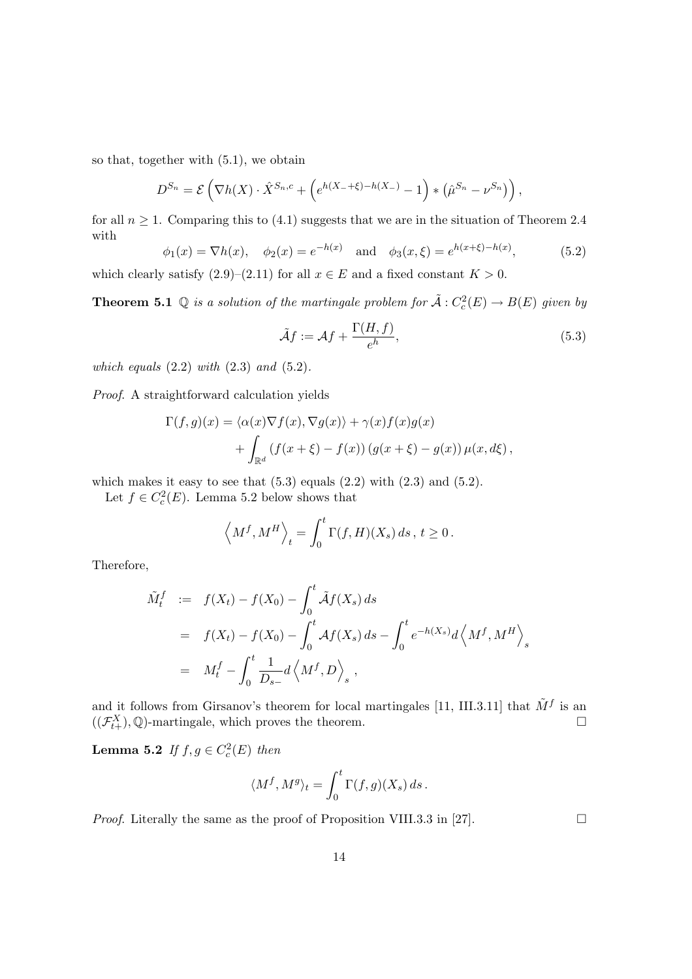so that, together with (5.1), we obtain

$$
D^{S_n} = \mathcal{E}\left(\nabla h(X) \cdot \hat{X}^{S_n,c} + \left(e^{h(X_- + \xi) - h(X_-)} - 1\right) * \left(\hat{\mu}^{S_n} - \nu^{S_n}\right)\right),
$$

for all  $n \geq 1$ . Comparing this to (4.1) suggests that we are in the situation of Theorem 2.4 with h<br>German har series

$$
\phi_1(x) = \nabla h(x), \quad \phi_2(x) = e^{-h(x)} \quad \text{and} \quad \phi_3(x, \xi) = e^{h(x + \xi) - h(x)},
$$
\n(5.2)

which clearly satisfy  $(2.9)$ – $(2.11)$  for all  $x \in E$  and a fixed constant  $K > 0$ .

**Theorem 5.1** Q is a solution of the martingale problem for  $\tilde{A}: C_c^2(E) \to B(E)$  given by

$$
\tilde{\mathcal{A}}f := \mathcal{A}f + \frac{\Gamma(H, f)}{e^h},\tag{5.3}
$$

which equals  $(2.2)$  with  $(2.3)$  and  $(5.2)$ .

Proof. A straightforward calculation yields

$$
\Gamma(f,g)(x) = \langle \alpha(x)\nabla f(x), \nabla g(x) \rangle + \gamma(x)f(x)g(x) + \int_{\mathbb{R}^d} (f(x+\xi) - f(x)) (g(x+\xi) - g(x)) \mu(x, d\xi),
$$

which makes it easy to see that  $(5.3)$  equals  $(2.2)$  with  $(2.3)$  and  $(5.2)$ .

Let  $f \in C_c^2(E)$ . Lemma 5.2 below shows that

$$
\langle M^f, M^H \rangle_t = \int_0^t \Gamma(f, H)(X_s) ds, t \ge 0.
$$

Therefore,

$$
\tilde{M}_t^f := f(X_t) - f(X_0) - \int_0^t \tilde{\mathcal{A}} f(X_s) ds \n= f(X_t) - f(X_0) - \int_0^t \mathcal{A} f(X_s) ds - \int_0^t e^{-h(X_s)} d\left\langle M^f, M^H \right\rangle_s \n= M_t^f - \int_0^t \frac{1}{D_{s-}} d\left\langle M^f, D \right\rangle_s,
$$

and it follows from Girsanov's theorem for local martingales [11, III.3.11] that  $\tilde{M}^f$  is an  $((\mathcal{F}_{t+}^X), \mathbb{Q})$ -martingale, which proves the theorem.  $\Box$ 

**Lemma 5.2** If  $f, g \in C_c^2(E)$  then

$$
\langle M^f, M^g \rangle_t = \int_0^t \Gamma(f, g)(X_s) \, ds \, .
$$

*Proof.* Literally the same as the proof of Proposition VIII.3.3 in [27].  $\Box$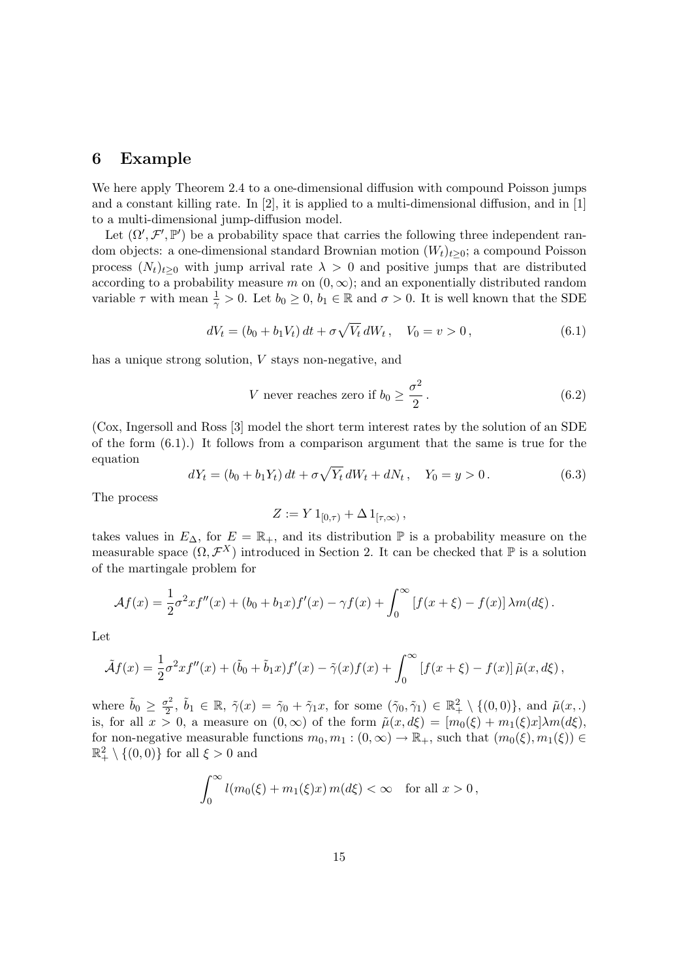#### 6 Example

We here apply Theorem 2.4 to a one-dimensional diffusion with compound Poisson jumps and a constant killing rate. In [2], it is applied to a multi-dimensional diffusion, and in [1] to a multi-dimensional jump-diffusion model.

Let  $(\Omega', \mathcal{F}', \mathbb{P}')$  be a probability space that carries the following three independent random objects: a one-dimensional standard Brownian motion  $(W_t)_{t\geq 0}$ ; a compound Poisson process  $(N_t)_{t\geq0}$  with jump arrival rate  $\lambda>0$  and positive jumps that are distributed according to a probability measure m on  $(0, \infty)$ ; and an exponentially distributed random variable  $\tau$  with mean  $\frac{1}{\gamma} > 0$ . Let  $b_0 \geq 0$ ,  $b_1 \in \mathbb{R}$  and  $\sigma > 0$ . It is well known that the SDE

$$
dV_t = (b_0 + b_1 V_t) dt + \sigma \sqrt{V_t} dW_t, \quad V_0 = v > 0,
$$
\n(6.1)

has a unique strong solution, V stays non-negative, and

V never reaches zero if 
$$
b_0 \ge \frac{\sigma^2}{2}
$$
. (6.2)

(Cox, Ingersoll and Ross [3] model the short term interest rates by the solution of an SDE of the form (6.1).) It follows from a comparison argument that the same is true for the equation p

$$
dY_t = (b_0 + b_1 Y_t) dt + \sigma \sqrt{Y_t} dW_t + dN_t, \quad Y_0 = y > 0.
$$
\n(6.3)

The process

$$
Z:=Y1_{[0,\tau)}+\Delta 1_{[\tau,\infty)},
$$

takes values in  $E_{\Delta}$ , for  $E = \mathbb{R}_+$ , and its distribution  $\mathbb P$  is a probability measure on the measurable space  $(\Omega, \mathcal{F}^X)$  introduced in Section 2. It can be checked that  $\mathbb P$  is a solution of the martingale problem for

$$
\mathcal{A}f(x) = \frac{1}{2}\sigma^2 x f''(x) + (b_0 + b_1 x) f'(x) - \gamma f(x) + \int_0^\infty [f(x+\xi) - f(x)] \lambda m(d\xi).
$$

Let

$$
\tilde{\mathcal{A}}f(x) = \frac{1}{2}\sigma^2 x f''(x) + (\tilde{b}_0 + \tilde{b}_1 x) f'(x) - \tilde{\gamma}(x) f(x) + \int_0^\infty \left[ f(x+\xi) - f(x) \right] \tilde{\mu}(x, d\xi),
$$

where  $\tilde{b}_0 \geq \frac{\sigma^2}{2}$  $\tilde{\nu}_2^2$ ,  $\tilde{b}_1 \in \mathbb{R}$ ,  $\tilde{\gamma}(x) = \tilde{\gamma}_0 + \tilde{\gamma}_1 x$ , for some  $(\tilde{\gamma}_0, \tilde{\gamma}_1) \in \mathbb{R}^2_+ \setminus \{(0,0)\}$ , and  $\tilde{\mu}(x,.)$ is, for all  $x > 0$ , a measure on  $(0, \infty)$  of the form  $\tilde{\mu}(x, d\xi) = [m_0(\xi) + m_1(\xi)x] \lambda m(d\xi)$ , for non-negative measurable functions  $m_0, m_1 : (0, \infty) \to \mathbb{R}_+$ , such that  $(m_0(\xi), m_1(\xi)) \in$  $\mathbb{R}^2_+ \setminus \{(0,0)\}\)$  for all  $\xi > 0$  and

$$
\int_0^\infty l(m_0(\xi) + m_1(\xi)x) m(d\xi) < \infty \quad \text{for all } x > 0,
$$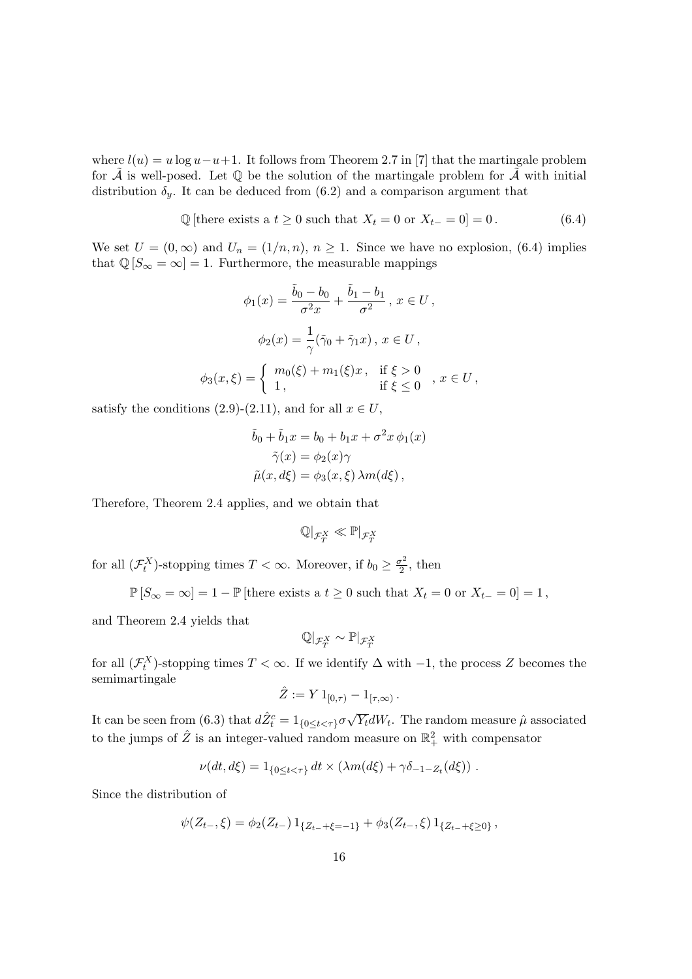where  $l(u) = u \log u - u + 1$ . It follows from Theorem 2.7 in [7] that the martingale problem for  $\overline{A}$  is well-posed. Let  $\mathbb Q$  be the solution of the martingale problem for  $\overline{A}$  with initial distribution  $\delta_y$ . It can be deduced from (6.2) and a comparison argument that

$$
\mathbb{Q}[\text{there exists a } t \ge 0 \text{ such that } X_t = 0 \text{ or } X_{t-} = 0] = 0. \tag{6.4}
$$

We set  $U = (0, \infty)$  and  $U_n = (1/n, n)$ ,  $n \ge 1$ . Since we have no explosion, (6.4) implies that  $\mathbb{Q}[S_{\infty} = \infty] = 1$ . Furthermore, the measurable mappings

$$
\phi_1(x) = \frac{\tilde{b}_0 - b_0}{\sigma^2 x} + \frac{\tilde{b}_1 - b_1}{\sigma^2}, \ x \in U,
$$
  

$$
\phi_2(x) = \frac{1}{\gamma} (\tilde{\gamma}_0 + \tilde{\gamma}_1 x), \ x \in U,
$$
  

$$
\phi_3(x, \xi) = \begin{cases} m_0(\xi) + m_1(\xi)x, & \text{if } \xi > 0 \\ 1, & \text{if } \xi \le 0 \end{cases}, \ x \in U,
$$

satisfy the conditions (2.9)-(2.11), and for all  $x \in U$ ,

$$
\tilde{b}_0 + \tilde{b}_1 x = b_0 + b_1 x + \sigma^2 x \phi_1(x)
$$

$$
\tilde{\gamma}(x) = \phi_2(x)\gamma
$$

$$
\tilde{\mu}(x, d\xi) = \phi_3(x, \xi) \lambda m(d\xi),
$$

Therefore, Theorem 2.4 applies, and we obtain that

$$
\mathbb{Q}|_{\mathcal{F}^X_T} \ll \mathbb{P}|_{\mathcal{F}^X_T}
$$

for all  $(\mathcal{F}_t^X)$ -stopping times  $T < \infty$ . Moreover, if  $b_0 \geq \frac{\sigma^2}{2}$  $\frac{\sigma^2}{2}$ , then

$$
\mathbb{P}[S_{\infty} = \infty] = 1 - \mathbb{P}[\text{there exists a } t \ge 0 \text{ such that } X_t = 0 \text{ or } X_{t-} = 0] = 1,
$$

and Theorem 2.4 yields that

$$
\mathbb{Q}|_{\mathcal{F}^X_T} \sim \mathbb{P}|_{\mathcal{F}^X_T}
$$

for all  $(\mathcal{F}^X_t)$ -stopping times  $T < \infty$ . If we identify  $\Delta$  with  $-1$ , the process Z becomes the semimartingale

$$
\hat{Z} := Y 1_{[0,\tau)} - 1_{[\tau,\infty)}.
$$

It can be seen from (6.3) that  $d\hat{Z}_{t}^{c} = 1_{\{0 \leq t < \tau\}}\sigma$ √  $\overline{Y_t}dW_t$ . The random measure  $\hat{\mu}$  associated to the jumps of  $\hat{Z}$  is an integer-valued random measure on  $\mathbb{R}_+^2$  with compensator

$$
\nu(dt, d\xi) = 1_{\{0 \le t < \tau\}} dt \times (\lambda m(d\xi) + \gamma \delta_{-1 - Z_t}(d\xi)) .
$$

Since the distribution of

$$
\psi(Z_{t-},\xi) = \phi_2(Z_{t-}) 1_{\{Z_{t-}+\xi=-1\}} + \phi_3(Z_{t-},\xi) 1_{\{Z_{t-}+\xi\geq 0\}},
$$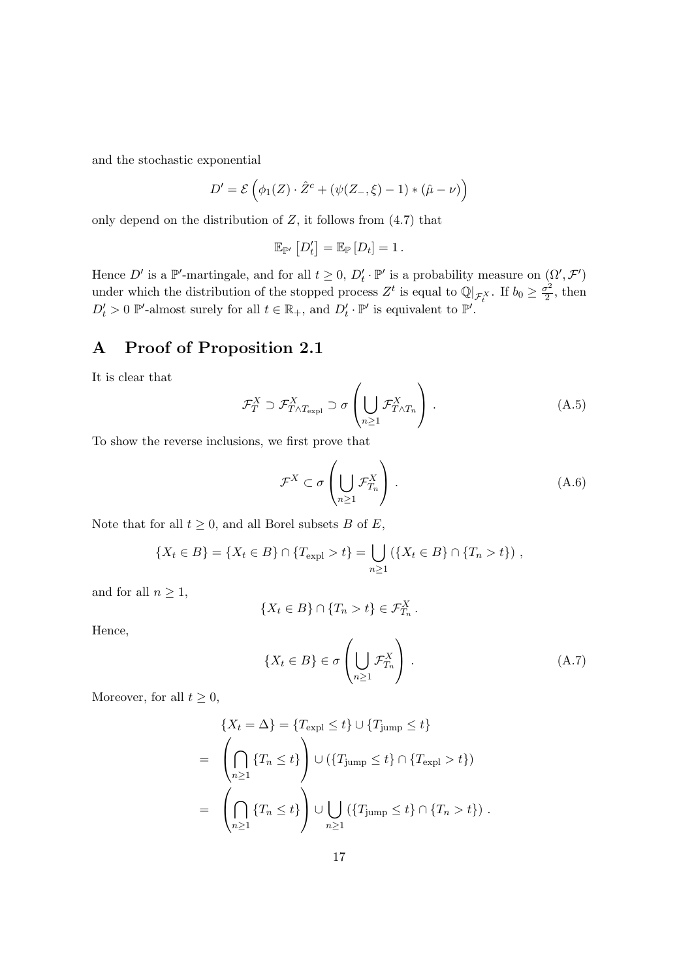and the stochastic exponential

$$
D' = \mathcal{E}\left(\phi_1(Z)\cdot \hat{Z}^c + (\psi(Z_-, \xi) - 1) * (\hat{\mu} - \nu)\right)
$$

only depend on the distribution of  $Z$ , it follows from  $(4.7)$  that

$$
\mathbb{E}_{\mathbb{P}'}\left[D'_t\right] = \mathbb{E}_{\mathbb{P}}\left[D_t\right] = 1.
$$

Hence D' is a  $\mathbb{P}'$ -martingale, and for all  $t \geq 0$ ,  $D'_t \cdot \mathbb{P}'$  is a probability measure on  $(\Omega', \mathcal{F}')$ under which the distribution of the stopped process  $Z^t$  is equal to  $\mathbb{Q}|_{\mathcal{F}_t^X}$ . If  $b_0 \geq \frac{\sigma^2}{2}$  $\frac{\sigma^2}{2}$ , then  $D'_t > 0$  P'-almost surely for all  $t \in \mathbb{R}_+$ , and  $D'_t \cdot \mathbb{P}'$  is equivalent to  $\mathbb{P}'$ .

### A Proof of Proposition 2.1

It is clear that

$$
\mathcal{F}_T^X \supset \mathcal{F}_{T \wedge T_{\text{expl}}}^X \supset \sigma \left( \bigcup_{n \ge 1} \mathcal{F}_{T \wedge T_n}^X \right). \tag{A.5}
$$

To show the reverse inclusions, we first prove that

$$
\mathcal{F}^X \subset \sigma \left( \bigcup_{n \ge 1} \mathcal{F}_{T_n}^X \right). \tag{A.6}
$$

Note that for all  $t \geq 0$ , and all Borel subsets B of E,

$$
\{X_t \in B\} = \{X_t \in B\} \cap \{T_{\text{expl}} > t\} = \bigcup_{n \ge 1} (\{X_t \in B\} \cap \{T_n > t\}),
$$

and for all  $n \geq 1$ ,

$$
\{X_t \in B\} \cap \{T_n > t\} \in \mathcal{F}_{T_n}^X
$$

Hence,

$$
\{X_t \in B\} \in \sigma \left(\bigcup_{n \ge 1} \mathcal{F}_{T_n}^X\right). \tag{A.7}
$$

.

Moreover, for all  $t \geq 0$ ,

$$
\{X_t = \Delta\} = \{T_{\text{expl}} \le t\} \cup \{T_{\text{jump}} \le t\}
$$

$$
= \left(\bigcap_{n\ge1} \{T_n \le t\}\right) \cup \left(\{T_{\text{jump}} \le t\} \cap \{T_{\text{expl}} > t\}\right)
$$

$$
= \left(\bigcap_{n\ge1} \{T_n \le t\}\right) \cup \bigcup_{n\ge1} \left(\{T_{\text{jump}} \le t\} \cap \{T_n > t\}\right).
$$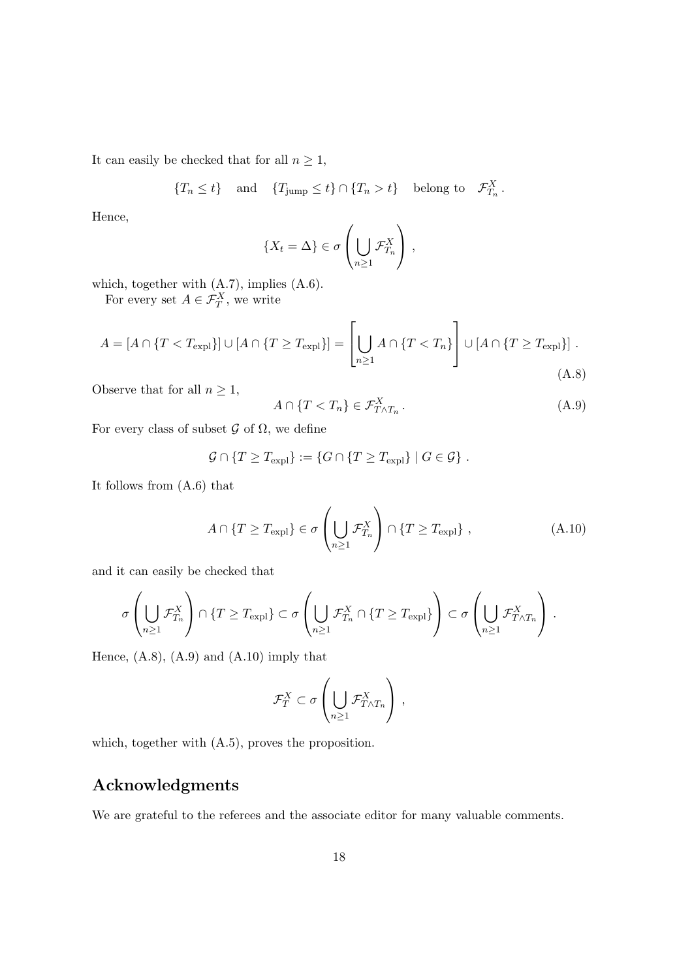It can easily be checked that for all  $n \geq 1$ ,

$$
\{T_n \le t\} \quad \text{and} \quad \{T_{\text{jump}} \le t\} \cap \{T_n > t\} \quad \text{belong to} \quad \mathcal{F}_{T_n}^X.
$$

Hence,

$$
\{X_t = \Delta\} \in \sigma\left(\bigcup_{n \geq 1} \mathcal{F}_{T_n}^X\right),\,
$$

which, together with (A.7), implies (A.6).

For every set  $A \in \mathcal{F}_T^X$ , we write

$$
A = [A \cap \{T < T_{\text{expl}}\}] \cup [A \cap \{T \ge T_{\text{expl}}\}] = \left[\bigcup_{n \ge 1} A \cap \{T < T_n\}\right] \cup [A \cap \{T \ge T_{\text{expl}}\}].\tag{A.8}
$$

Observe that for all  $n \geq 1$ ,

$$
A \cap \{T < T_n\} \in \mathcal{F}_{T \wedge T_n}^X. \tag{A.9}
$$

For every class of subset  $\mathcal G$  of  $\Omega$ , we define

$$
\mathcal{G} \cap \{ T \geq T_{\text{expl}} \} := \{ G \cap \{ T \geq T_{\text{expl}} \} \mid G \in \mathcal{G} \}.
$$

It follows from (A.6) that

$$
A \cap \{T \ge T_{\text{expl}}\} \in \sigma \left(\bigcup_{n \ge 1} \mathcal{F}_{T_n}^X \right) \cap \{T \ge T_{\text{expl}}\},\tag{A.10}
$$

and it can easily be checked that

$$
\sigma\left(\bigcup_{n\geq 1} \mathcal{F}_{T_n}^X\right) \cap \{T \geq T_{\mathrm{expl}}\} \subset \sigma\left(\bigcup_{n\geq 1} \mathcal{F}_{T_n}^X \cap \{T \geq T_{\mathrm{expl}}\}\right) \subset \sigma\left(\bigcup_{n\geq 1} \mathcal{F}_{T\wedge T_n}^X\right).
$$

Hence,  $(A.8)$ ,  $(A.9)$  and  $(A.10)$  imply that

$$
\mathcal{F}_T^X \subset \sigma \left( \bigcup_{n \geq 1} \mathcal{F}_{T \wedge T_n}^X \right),
$$

which, together with (A.5), proves the proposition.

## Acknowledgments

We are grateful to the referees and the associate editor for many valuable comments.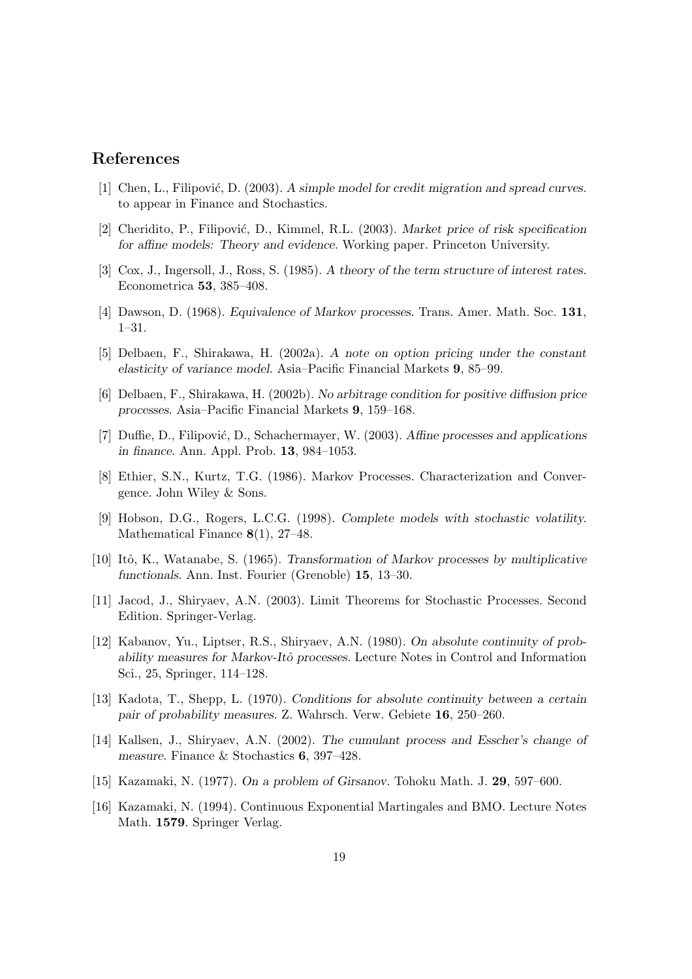#### References

- [1] Chen, L., Filipović, D. (2003). A simple model for credit migration and spread curves. to appear in Finance and Stochastics.
- [2] Cheridito, P., Filipović, D., Kimmel, R.L. (2003). Market price of risk specification for affine models: Theory and evidence. Working paper. Princeton University.
- [3] Cox, J., Ingersoll, J., Ross, S. (1985). A theory of the term structure of interest rates. Econometrica 53, 385–408.
- [4] Dawson, D. (1968). Equivalence of Markov processes. Trans. Amer. Math. Soc. 131, 1–31.
- [5] Delbaen, F., Shirakawa, H. (2002a). A note on option pricing under the constant elasticity of variance model. Asia–Pacific Financial Markets 9, 85–99.
- [6] Delbaen, F., Shirakawa, H. (2002b). No arbitrage condition for positive diffusion price processes. Asia–Pacific Financial Markets 9, 159–168.
- [7] Duffie, D., Filipović, D., Schachermayer, W. (2003). Affine processes and applications in finance. Ann. Appl. Prob. 13, 984–1053.
- [8] Ethier, S.N., Kurtz, T.G. (1986). Markov Processes. Characterization and Convergence. John Wiley & Sons.
- [9] Hobson, D.G., Rogers, L.C.G. (1998). Complete models with stochastic volatility. Mathematical Finance 8(1), 27–48.
- [10] Itô, K., Watanabe, S. (1965). Transformation of Markov processes by multiplicative functionals. Ann. Inst. Fourier (Grenoble) 15, 13–30.
- [11] Jacod, J., Shiryaev, A.N. (2003). Limit Theorems for Stochastic Processes. Second Edition. Springer-Verlag.
- [12] Kabanov, Yu., Liptser, R.S., Shiryaev, A.N. (1980). On absolute continuity of probability measures for Markov-Itô processes. Lecture Notes in Control and Information Sci., 25, Springer, 114–128.
- [13] Kadota, T., Shepp, L. (1970). Conditions for absolute continuity between a certain pair of probability measures. Z. Wahrsch. Verw. Gebiete 16, 250–260.
- [14] Kallsen, J., Shiryaev, A.N. (2002). The cumulant process and Esscher's change of measure. Finance & Stochastics 6, 397–428.
- [15] Kazamaki, N. (1977). On a problem of Girsanov. Tohoku Math. J. 29, 597–600.
- [16] Kazamaki, N. (1994). Continuous Exponential Martingales and BMO. Lecture Notes Math. 1579. Springer Verlag.